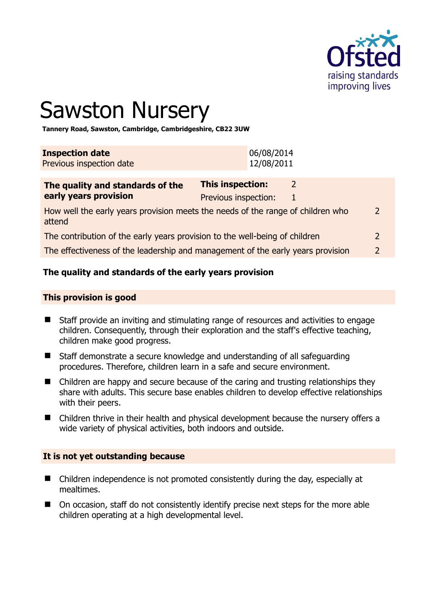

# Sawston Nursery

**Tannery Road, Sawston, Cambridge, Cambridgeshire, CB22 3UW** 

| <b>Inspection date</b>   | 06/08/2014 |
|--------------------------|------------|
| Previous inspection date | 12/08/2011 |
|                          |            |

| The quality and standards of the                                                          | <b>This inspection:</b> |  |               |
|-------------------------------------------------------------------------------------------|-------------------------|--|---------------|
| early years provision                                                                     | Previous inspection:    |  |               |
| How well the early years provision meets the needs of the range of children who<br>attend |                         |  | $\mathcal{L}$ |
| The contribution of the early years provision to the well-being of children               |                         |  |               |
| The effectiveness of the leadership and management of the early years provision           |                         |  |               |

# **The quality and standards of the early years provision**

#### **This provision is good**

- Staff provide an inviting and stimulating range of resources and activities to engage children. Consequently, through their exploration and the staff's effective teaching, children make good progress.
- Staff demonstrate a secure knowledge and understanding of all safeguarding procedures. Therefore, children learn in a safe and secure environment.
- Children are happy and secure because of the caring and trusting relationships they share with adults. This secure base enables children to develop effective relationships with their peers.
- Children thrive in their health and physical development because the nursery offers a wide variety of physical activities, both indoors and outside.

#### **It is not yet outstanding because**

- Children independence is not promoted consistently during the day, especially at mealtimes.
- On occasion, staff do not consistently identify precise next steps for the more able children operating at a high developmental level.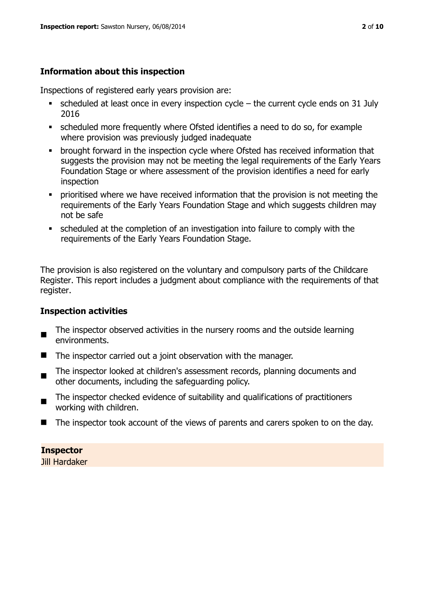# **Information about this inspection**

Inspections of registered early years provision are:

- $\bullet$  scheduled at least once in every inspection cycle the current cycle ends on 31 July 2016
- scheduled more frequently where Ofsted identifies a need to do so, for example where provision was previously judged inadequate
- **•** brought forward in the inspection cycle where Ofsted has received information that suggests the provision may not be meeting the legal requirements of the Early Years Foundation Stage or where assessment of the provision identifies a need for early inspection
- **•** prioritised where we have received information that the provision is not meeting the requirements of the Early Years Foundation Stage and which suggests children may not be safe
- scheduled at the completion of an investigation into failure to comply with the requirements of the Early Years Foundation Stage.

The provision is also registered on the voluntary and compulsory parts of the Childcare Register. This report includes a judgment about compliance with the requirements of that register.

# **Inspection activities**

- $\blacksquare$ The inspector observed activities in the nursery rooms and the outside learning environments.
- The inspector carried out a joint observation with the manager.
- The inspector looked at children's assessment records, planning documents and other documents, including the safeguarding policy.
- The inspector checked evidence of suitability and qualifications of practitioners working with children.
- The inspector took account of the views of parents and carers spoken to on the day.

# **Inspector**

Jill Hardaker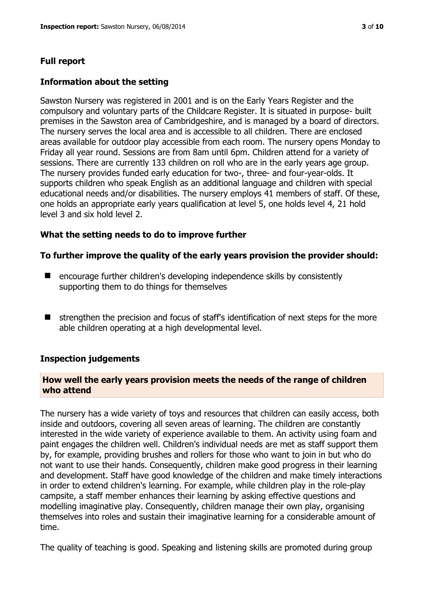# **Full report**

#### **Information about the setting**

Sawston Nursery was registered in 2001 and is on the Early Years Register and the compulsory and voluntary parts of the Childcare Register. It is situated in purpose- built premises in the Sawston area of Cambridgeshire, and is managed by a board of directors. The nursery serves the local area and is accessible to all children. There are enclosed areas available for outdoor play accessible from each room. The nursery opens Monday to Friday all year round. Sessions are from 8am until 6pm. Children attend for a variety of sessions. There are currently 133 children on roll who are in the early years age group. The nursery provides funded early education for two-, three- and four-year-olds. It supports children who speak English as an additional language and children with special educational needs and/or disabilities. The nursery employs 41 members of staff. Of these, one holds an appropriate early years qualification at level 5, one holds level 4, 21 hold level 3 and six hold level 2.

# **What the setting needs to do to improve further**

#### **To further improve the quality of the early years provision the provider should:**

- encourage further children's developing independence skills by consistently supporting them to do things for themselves
- $\blacksquare$  strengthen the precision and focus of staff's identification of next steps for the more able children operating at a high developmental level.

#### **Inspection judgements**

#### **How well the early years provision meets the needs of the range of children who attend**

The nursery has a wide variety of toys and resources that children can easily access, both inside and outdoors, covering all seven areas of learning. The children are constantly interested in the wide variety of experience available to them. An activity using foam and paint engages the children well. Children's individual needs are met as staff support them by, for example, providing brushes and rollers for those who want to join in but who do not want to use their hands. Consequently, children make good progress in their learning and development. Staff have good knowledge of the children and make timely interactions in order to extend children's learning. For example, while children play in the role-play campsite, a staff member enhances their learning by asking effective questions and modelling imaginative play. Consequently, children manage their own play, organising themselves into roles and sustain their imaginative learning for a considerable amount of time.

The quality of teaching is good. Speaking and listening skills are promoted during group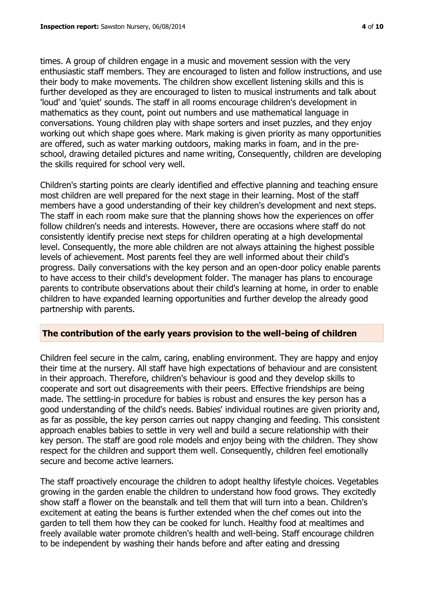times. A group of children engage in a music and movement session with the very enthusiastic staff members. They are encouraged to listen and follow instructions, and use their body to make movements. The children show excellent listening skills and this is further developed as they are encouraged to listen to musical instruments and talk about 'loud' and 'quiet' sounds. The staff in all rooms encourage children's development in mathematics as they count, point out numbers and use mathematical language in conversations. Young children play with shape sorters and inset puzzles, and they enjoy working out which shape goes where. Mark making is given priority as many opportunities are offered, such as water marking outdoors, making marks in foam, and in the preschool, drawing detailed pictures and name writing, Consequently, children are developing the skills required for school very well.

Children's starting points are clearly identified and effective planning and teaching ensure most children are well prepared for the next stage in their learning. Most of the staff members have a good understanding of their key children's development and next steps. The staff in each room make sure that the planning shows how the experiences on offer follow children's needs and interests. However, there are occasions where staff do not consistently identify precise next steps for children operating at a high developmental level. Consequently, the more able children are not always attaining the highest possible levels of achievement. Most parents feel they are well informed about their child's progress. Daily conversations with the key person and an open-door policy enable parents to have access to their child's development folder. The manager has plans to encourage parents to contribute observations about their child's learning at home, in order to enable children to have expanded learning opportunities and further develop the already good partnership with parents.

# **The contribution of the early years provision to the well-being of children**

Children feel secure in the calm, caring, enabling environment. They are happy and enjoy their time at the nursery. All staff have high expectations of behaviour and are consistent in their approach. Therefore, children's behaviour is good and they develop skills to cooperate and sort out disagreements with their peers. Effective friendships are being made. The settling-in procedure for babies is robust and ensures the key person has a good understanding of the child's needs. Babies' individual routines are given priority and, as far as possible, the key person carries out nappy changing and feeding. This consistent approach enables babies to settle in very well and build a secure relationship with their key person. The staff are good role models and enjoy being with the children. They show respect for the children and support them well. Consequently, children feel emotionally secure and become active learners.

The staff proactively encourage the children to adopt healthy lifestyle choices. Vegetables growing in the garden enable the children to understand how food grows. They excitedly show staff a flower on the beanstalk and tell them that will turn into a bean. Children's excitement at eating the beans is further extended when the chef comes out into the garden to tell them how they can be cooked for lunch. Healthy food at mealtimes and freely available water promote children's health and well-being. Staff encourage children to be independent by washing their hands before and after eating and dressing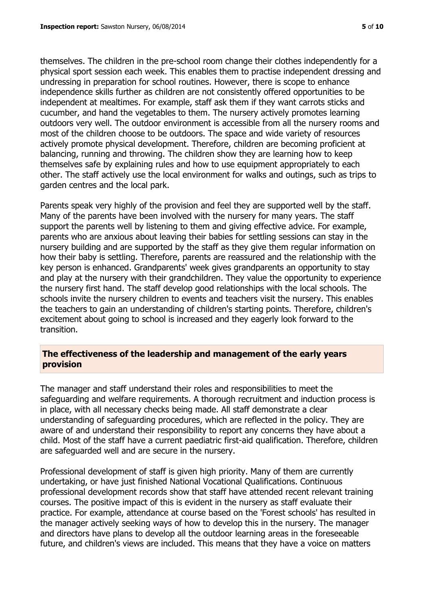themselves. The children in the pre-school room change their clothes independently for a physical sport session each week. This enables them to practise independent dressing and undressing in preparation for school routines. However, there is scope to enhance independence skills further as children are not consistently offered opportunities to be independent at mealtimes. For example, staff ask them if they want carrots sticks and cucumber, and hand the vegetables to them. The nursery actively promotes learning outdoors very well. The outdoor environment is accessible from all the nursery rooms and most of the children choose to be outdoors. The space and wide variety of resources actively promote physical development. Therefore, children are becoming proficient at balancing, running and throwing. The children show they are learning how to keep themselves safe by explaining rules and how to use equipment appropriately to each other. The staff actively use the local environment for walks and outings, such as trips to garden centres and the local park.

Parents speak very highly of the provision and feel they are supported well by the staff. Many of the parents have been involved with the nursery for many years. The staff support the parents well by listening to them and giving effective advice. For example, parents who are anxious about leaving their babies for settling sessions can stay in the nursery building and are supported by the staff as they give them regular information on how their baby is settling. Therefore, parents are reassured and the relationship with the key person is enhanced. Grandparents' week gives grandparents an opportunity to stay and play at the nursery with their grandchildren. They value the opportunity to experience the nursery first hand. The staff develop good relationships with the local schools. The schools invite the nursery children to events and teachers visit the nursery. This enables the teachers to gain an understanding of children's starting points. Therefore, children's excitement about going to school is increased and they eagerly look forward to the transition.

# **The effectiveness of the leadership and management of the early years provision**

The manager and staff understand their roles and responsibilities to meet the safeguarding and welfare requirements. A thorough recruitment and induction process is in place, with all necessary checks being made. All staff demonstrate a clear understanding of safeguarding procedures, which are reflected in the policy. They are aware of and understand their responsibility to report any concerns they have about a child. Most of the staff have a current paediatric first-aid qualification. Therefore, children are safeguarded well and are secure in the nursery.

Professional development of staff is given high priority. Many of them are currently undertaking, or have just finished National Vocational Qualifications. Continuous professional development records show that staff have attended recent relevant training courses. The positive impact of this is evident in the nursery as staff evaluate their practice. For example, attendance at course based on the 'Forest schools' has resulted in the manager actively seeking ways of how to develop this in the nursery. The manager and directors have plans to develop all the outdoor learning areas in the foreseeable future, and children's views are included. This means that they have a voice on matters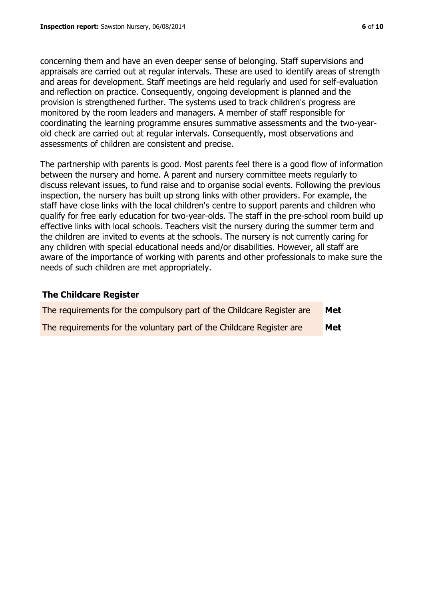concerning them and have an even deeper sense of belonging. Staff supervisions and appraisals are carried out at regular intervals. These are used to identify areas of strength and areas for development. Staff meetings are held regularly and used for self-evaluation and reflection on practice. Consequently, ongoing development is planned and the provision is strengthened further. The systems used to track children's progress are monitored by the room leaders and managers. A member of staff responsible for coordinating the learning programme ensures summative assessments and the two-yearold check are carried out at regular intervals. Consequently, most observations and assessments of children are consistent and precise.

The partnership with parents is good. Most parents feel there is a good flow of information between the nursery and home. A parent and nursery committee meets regularly to discuss relevant issues, to fund raise and to organise social events. Following the previous inspection, the nursery has built up strong links with other providers. For example, the staff have close links with the local children's centre to support parents and children who qualify for free early education for two-year-olds. The staff in the pre-school room build up effective links with local schools. Teachers visit the nursery during the summer term and the children are invited to events at the schools. The nursery is not currently caring for any children with special educational needs and/or disabilities. However, all staff are aware of the importance of working with parents and other professionals to make sure the needs of such children are met appropriately.

# **The Childcare Register**

| The requirements for the compulsory part of the Childcare Register are | Met |
|------------------------------------------------------------------------|-----|
| The requirements for the voluntary part of the Childcare Register are  | Met |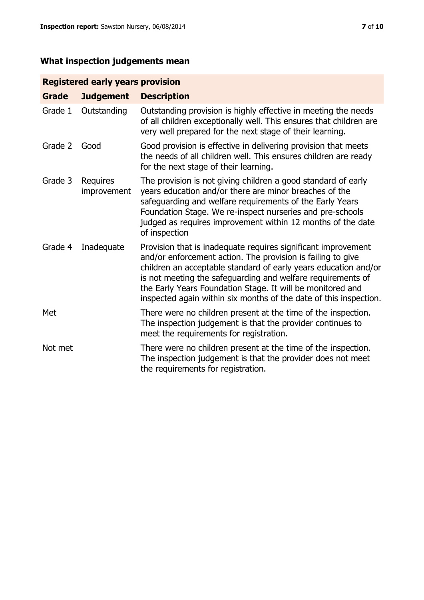# **What inspection judgements mean**

# **Registered early years provision**

| Grade   | <b>Judgement</b>               | <b>Description</b>                                                                                                                                                                                                                                                                                                                                                                                |
|---------|--------------------------------|---------------------------------------------------------------------------------------------------------------------------------------------------------------------------------------------------------------------------------------------------------------------------------------------------------------------------------------------------------------------------------------------------|
| Grade 1 | Outstanding                    | Outstanding provision is highly effective in meeting the needs<br>of all children exceptionally well. This ensures that children are<br>very well prepared for the next stage of their learning.                                                                                                                                                                                                  |
| Grade 2 | Good                           | Good provision is effective in delivering provision that meets<br>the needs of all children well. This ensures children are ready<br>for the next stage of their learning.                                                                                                                                                                                                                        |
| Grade 3 | <b>Requires</b><br>improvement | The provision is not giving children a good standard of early<br>years education and/or there are minor breaches of the<br>safeguarding and welfare requirements of the Early Years<br>Foundation Stage. We re-inspect nurseries and pre-schools<br>judged as requires improvement within 12 months of the date<br>of inspection                                                                  |
| Grade 4 | Inadequate                     | Provision that is inadequate requires significant improvement<br>and/or enforcement action. The provision is failing to give<br>children an acceptable standard of early years education and/or<br>is not meeting the safeguarding and welfare requirements of<br>the Early Years Foundation Stage. It will be monitored and<br>inspected again within six months of the date of this inspection. |
| Met     |                                | There were no children present at the time of the inspection.<br>The inspection judgement is that the provider continues to<br>meet the requirements for registration.                                                                                                                                                                                                                            |
| Not met |                                | There were no children present at the time of the inspection.<br>The inspection judgement is that the provider does not meet<br>the requirements for registration.                                                                                                                                                                                                                                |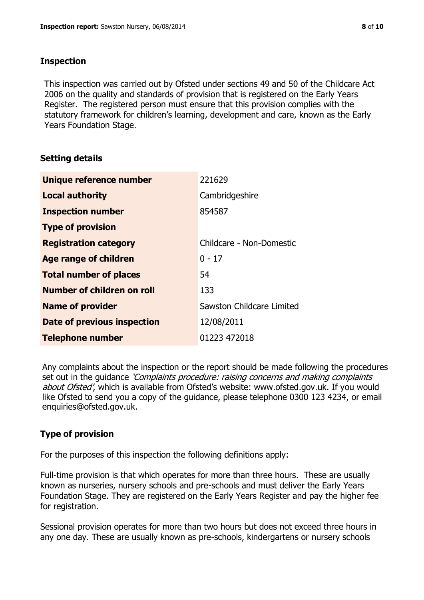# **Inspection**

This inspection was carried out by Ofsted under sections 49 and 50 of the Childcare Act 2006 on the quality and standards of provision that is registered on the Early Years Register. The registered person must ensure that this provision complies with the statutory framework for children's learning, development and care, known as the Early Years Foundation Stage.

# **Setting details**

| Unique reference number       | 221629                           |
|-------------------------------|----------------------------------|
| <b>Local authority</b>        | Cambridgeshire                   |
| <b>Inspection number</b>      | 854587                           |
| <b>Type of provision</b>      |                                  |
| <b>Registration category</b>  | Childcare - Non-Domestic         |
| Age range of children         | $0 - 17$                         |
| <b>Total number of places</b> | 54                               |
| Number of children on roll    | 133                              |
| <b>Name of provider</b>       | <b>Sawston Childcare Limited</b> |
| Date of previous inspection   | 12/08/2011                       |
| <b>Telephone number</b>       | 01223 472018                     |

Any complaints about the inspection or the report should be made following the procedures set out in the guidance *'Complaints procedure: raising concerns and making complaints* about Ofsted', which is available from Ofsted's website: www.ofsted.gov.uk. If you would like Ofsted to send you a copy of the guidance, please telephone 0300 123 4234, or email enquiries@ofsted.gov.uk.

# **Type of provision**

For the purposes of this inspection the following definitions apply:

Full-time provision is that which operates for more than three hours. These are usually known as nurseries, nursery schools and pre-schools and must deliver the Early Years Foundation Stage. They are registered on the Early Years Register and pay the higher fee for registration.

Sessional provision operates for more than two hours but does not exceed three hours in any one day. These are usually known as pre-schools, kindergartens or nursery schools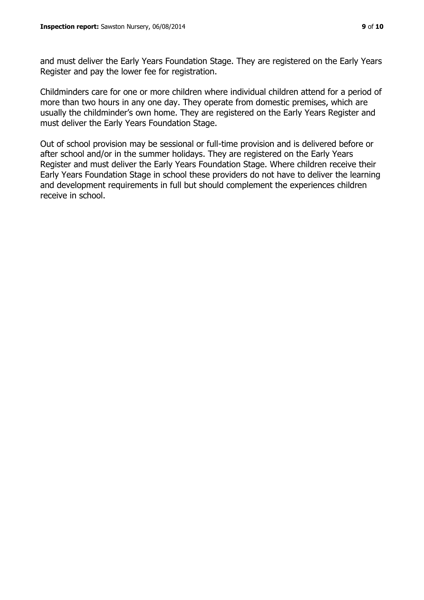and must deliver the Early Years Foundation Stage. They are registered on the Early Years Register and pay the lower fee for registration.

Childminders care for one or more children where individual children attend for a period of more than two hours in any one day. They operate from domestic premises, which are usually the childminder's own home. They are registered on the Early Years Register and must deliver the Early Years Foundation Stage.

Out of school provision may be sessional or full-time provision and is delivered before or after school and/or in the summer holidays. They are registered on the Early Years Register and must deliver the Early Years Foundation Stage. Where children receive their Early Years Foundation Stage in school these providers do not have to deliver the learning and development requirements in full but should complement the experiences children receive in school.